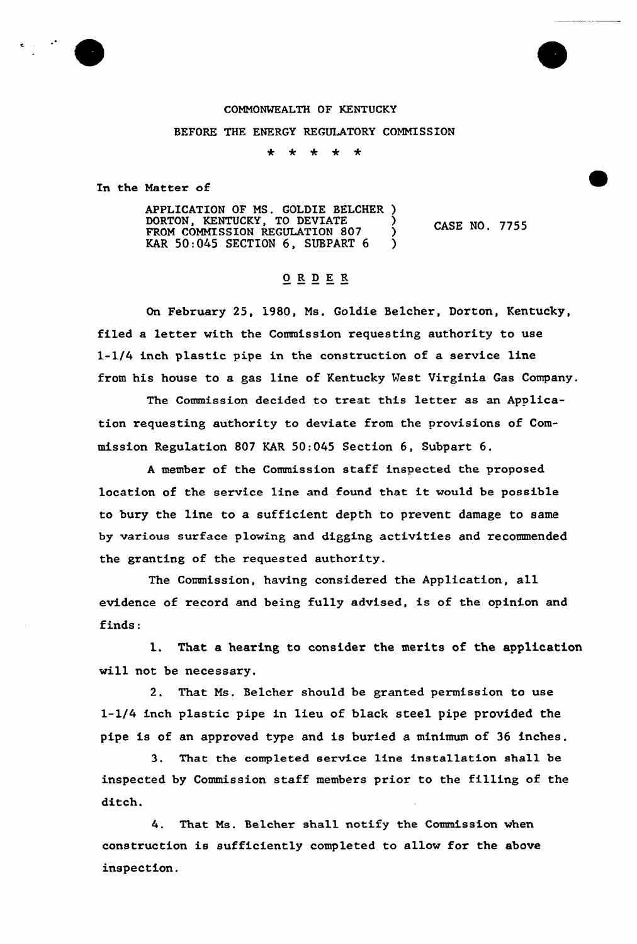## COMMONWEALTH OF KENTUCKY

## BEFORE THE ENERGY REGULATORY COMMISSION

\* \* \* \* \*

In the Matter of

APPLICATION OF MS. GOLDIE BELCHER ) DORTON, KENTUCKY, TO DEVIATE FROM COMMISSION REGULATION 807 KAR  $50:045$  SECTION 6, SUBPART 6 ) CASE NO. 7755

## ORDER

On February 25, 1980, Ms. Goldie Belcher, Dorton, Kentucky, filed a letter with the Commission requesting authority to use 1-1/4 inch plastic pipe in the construction of a service line from his house to a gas line of Kentucky Vest Virginia Gas Company.

The Commission decided to treat this letter as an Application requesting authority to deviate from the provisions of Commission Regulation 807 KAR 50:045 Section 6, Subpart 6.

<sup>A</sup> member of the Commission staff inspected the proposed location of the service line and found that it would be possible to bury the line to a sufficient depth to prevent damage to same by various surface plowing and digging activities and recommended the granting of the requested authority.

The Commission, having considered the Application, all evidence of record and being fully advised, is of the opinion and finds:

l. That <sup>a</sup> hearing to consider the merits of the application will not be necessary.

2. That Ms. Belcher should be granted permission to use 1-1/4 inch plastic pipe in lieu of black steel pipe provided the pipe is of an approved type and is buried a minimum of 36 inches.

3. That the completed service line installation sha11 be inspected by Commission staff members prior to the filling of the ditch.

4. That Ms. Belcher shall notify the Commission when construction is sufficiently completed to allow for the above inspection.